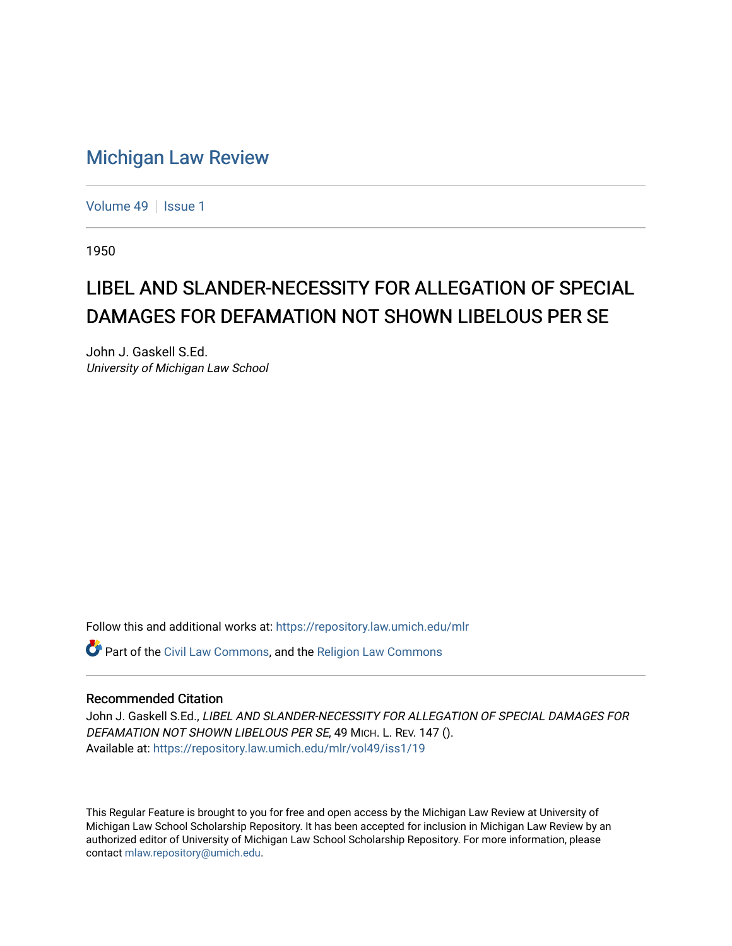## [Michigan Law Review](https://repository.law.umich.edu/mlr)

[Volume 49](https://repository.law.umich.edu/mlr/vol49) | [Issue 1](https://repository.law.umich.edu/mlr/vol49/iss1)

1950

## LIBEL AND SLANDER-NECESSITY FOR ALLEGATION OF SPECIAL DAMAGES FOR DEFAMATION NOT SHOWN LIBELOUS PER SE

John J. Gaskell S.Ed. University of Michigan Law School

Follow this and additional works at: [https://repository.law.umich.edu/mlr](https://repository.law.umich.edu/mlr?utm_source=repository.law.umich.edu%2Fmlr%2Fvol49%2Fiss1%2F19&utm_medium=PDF&utm_campaign=PDFCoverPages) 

Part of the [Civil Law Commons](http://network.bepress.com/hgg/discipline/835?utm_source=repository.law.umich.edu%2Fmlr%2Fvol49%2Fiss1%2F19&utm_medium=PDF&utm_campaign=PDFCoverPages), and the [Religion Law Commons](http://network.bepress.com/hgg/discipline/872?utm_source=repository.law.umich.edu%2Fmlr%2Fvol49%2Fiss1%2F19&utm_medium=PDF&utm_campaign=PDFCoverPages)

## Recommended Citation

John J. Gaskell S.Ed., LIBEL AND SLANDER-NECESSITY FOR ALLEGATION OF SPECIAL DAMAGES FOR DEFAMATION NOT SHOWN LIBELOUS PER SE, 49 MICH. L. REV. 147 (). Available at: [https://repository.law.umich.edu/mlr/vol49/iss1/19](https://repository.law.umich.edu/mlr/vol49/iss1/19?utm_source=repository.law.umich.edu%2Fmlr%2Fvol49%2Fiss1%2F19&utm_medium=PDF&utm_campaign=PDFCoverPages) 

This Regular Feature is brought to you for free and open access by the Michigan Law Review at University of Michigan Law School Scholarship Repository. It has been accepted for inclusion in Michigan Law Review by an authorized editor of University of Michigan Law School Scholarship Repository. For more information, please contact [mlaw.repository@umich.edu](mailto:mlaw.repository@umich.edu).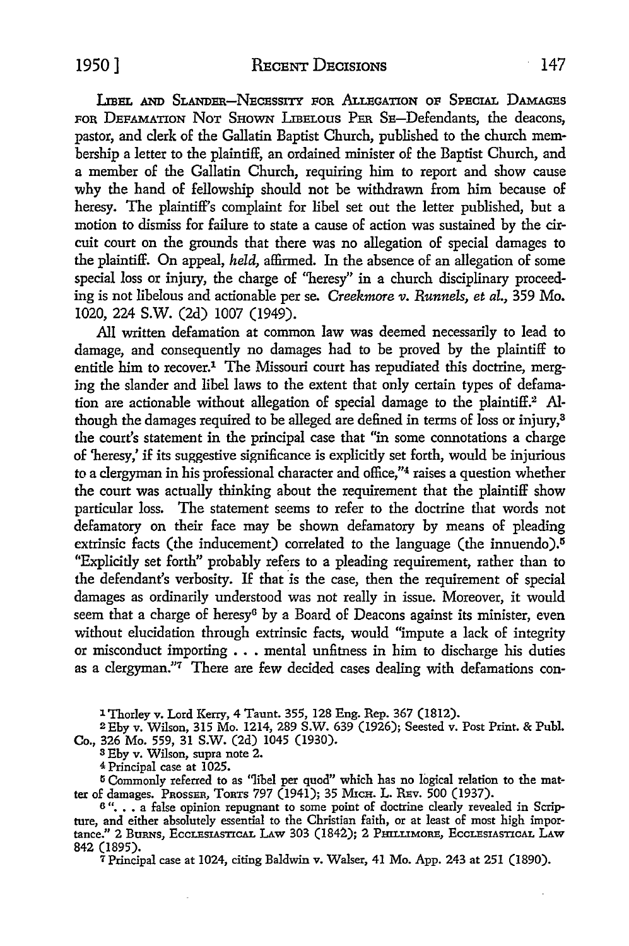1950] RECENT DECISIONS 147

LIBEL AND SLANDER-NECESSITY FOR ALLEGATION OF SPECIAL DAMAGES FOR DEFAMATION NOT SHOWN LIBELOUS PER SE-Defendants, the deacons, pastor, and clerk of the Gallatin Baptist Church, published to the church membership a letter to the plaintiff, an ordained minister of the Baptist Church, and a member of the Gallatin Church, requiring him to report and show cause why the hand of fellowship should not be withdrawn from him because of heresy. The plaintiff's complaint for libel set out the letter published, but a motion to dismiss for failure to state a cause of action was sustained by the circuit court on the grounds that there was no allegation of special damages to the plaintiff. On appeal, *held,* affirmed. In the absence of an allegation of some special loss or injury, the charge of "heresy" in a church disciplinary proceeding is not libelous and actionable per se. *Creekmore v. Runnels, et al.*, 359 Mo. 1020, 224 s.w. (2d) 1007 (1949).

All written defamation at common law was deemed necessarily to lead to damage, and consequently no damages had to be proved by the plaintiff to entitle him to recover.<sup>1</sup> The Missouri court has repudiated this doctrine, merging the slander and libel laws to the extent that only certain types of defamation are actionable without allegation of special damage to the plaintiff.2 Although the damages required to be alleged are defined in terms of loss or injury,<sup>3</sup> the court's statement in the principal case that "in some connotations a charge of 'heresy,' if its suggestive significance is explicitly set forth, would be injurious to a clergyman in his professional character and office,"4 raises a question whether the court was actually thinking about the requirement that the plaintiff show particular loss. The statement seems to refer to the doctrine that words not defamatory on their face may be shown defamatory by means of pleading extrinsic facts (the inducement) correlated to the language (the innuendo).<sup> $5$ </sup> ''Explicitly set forth" probably refers *to* a pleading requirement, rather than to the defendant's verbosity. If that is the case, then the requirement of special damages as ordinarily understood was not really in issue. Moreover, it would seem that a charge of heresy<sup>6</sup> by a Board of Deacons against its minister, even without elucidation through extrinsic facts, would "impute a lack of integrity or misconduct importing  $\ldots$  mental unfitness in him to discharge his duties as a clergyman."7 There are few decided cases dealing with defamations con-

1 Thorley v. Lord Kerry, 4 Taunt. 355, 128 Eng. Rep. 367 (1812).

2£by v. Wilson, 315 Mo. 1214, 289 S.W. 639 (1926); Seested v. Post Print. & Puhl. Co., 326 Mo. 559, 31 S.W. (2d) 1045 (1930).

3 Eby v. Wilson, supra note 2.

4 Principal case at 1025.

<sup>5</sup> Commonly referred to as "libel per quod" which has no logical relation to the matter of damages. PROSSER, TORTS 797 (1941); 35 MicH. L. REv. 500 (1937).

 $6$ "... a false opinion repugnant to some point of doctrine clearly revealed in Scripture, and either absolutely essential to the Christian faith, or at least of most high importance." 2 BURNS, ECCLESIASTICAL LAW 303 (1842); 2 PHILLIMORE, ECCLESIASTICAL LAW 842 (1895).

7 Principal case at 1024, citing Baldwin v. Walser, 41 Mo. App. 243 at 251 (1890).